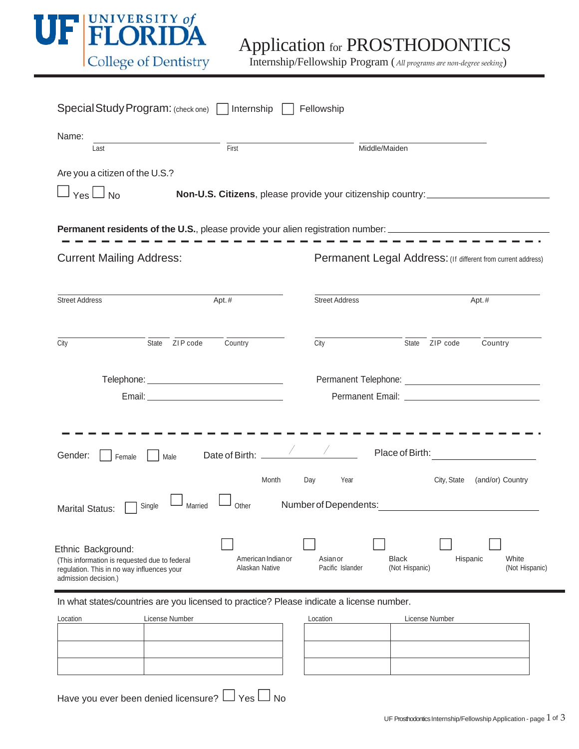

| Special Study Program: (check one) Internship                                                                                             | Fellowship                                                                       |                                |                                                              |
|-------------------------------------------------------------------------------------------------------------------------------------------|----------------------------------------------------------------------------------|--------------------------------|--------------------------------------------------------------|
| Name:<br>First<br>Last                                                                                                                    |                                                                                  | Middle/Maiden                  |                                                              |
| Are you a citizen of the U.S.?                                                                                                            |                                                                                  |                                |                                                              |
| $\sqcup$ $_{\sf Yes}$ $\sqcup$ $_{\sf No}$                                                                                                | Non-U.S. Citizens, please provide your citizenship country: ____________________ |                                |                                                              |
| <b>Permanent residents of the U.S.</b> , please provide your alien registration number: ______________________________                    |                                                                                  |                                |                                                              |
| <b>Current Mailing Address:</b>                                                                                                           |                                                                                  |                                | Permanent Legal Address: (If different from current address) |
|                                                                                                                                           |                                                                                  |                                |                                                              |
| <b>Street Address</b><br>Apt.#                                                                                                            | <b>Street Address</b>                                                            |                                | Apt.#                                                        |
| State ZIP code<br>Country<br>City                                                                                                         | City                                                                             | State                          | ZIP code<br>Country                                          |
|                                                                                                                                           |                                                                                  |                                |                                                              |
|                                                                                                                                           |                                                                                  |                                |                                                              |
|                                                                                                                                           |                                                                                  |                                |                                                              |
| Gender:<br>Male<br>Female                                                                                                                 |                                                                                  |                                | Place of Birth:                                              |
|                                                                                                                                           | Month<br>Day<br>Year                                                             |                                | City, State<br>(and/or) Country                              |
| Married<br>Single<br><b>Marital Status:</b>                                                                                               | Number of Dependents:<br>Other                                                   |                                |                                                              |
| Ethnic Background:<br>(This information is requested due to federal<br>regulation. This in no way influences your<br>admission decision.) | American Indian or<br>Asian or<br>Alaskan Native<br>Pacific Islander             | <b>Black</b><br>(Not Hispanic) | White<br>Hispanic<br>(Not Hispanic)                          |

In what states/countries are you licensed to practice? Please indicate a license number.

| Location | License Number | Location | License Number |
|----------|----------------|----------|----------------|
|          |                |          |                |
|          |                |          |                |
|          |                |          |                |
|          |                |          |                |
|          |                |          |                |

| Location | License Number |  |
|----------|----------------|--|
|          |                |  |
|          |                |  |
|          |                |  |
|          |                |  |
|          |                |  |
|          |                |  |

Have you ever been denied licensure?  $\Box$  Yes  $\Box$  No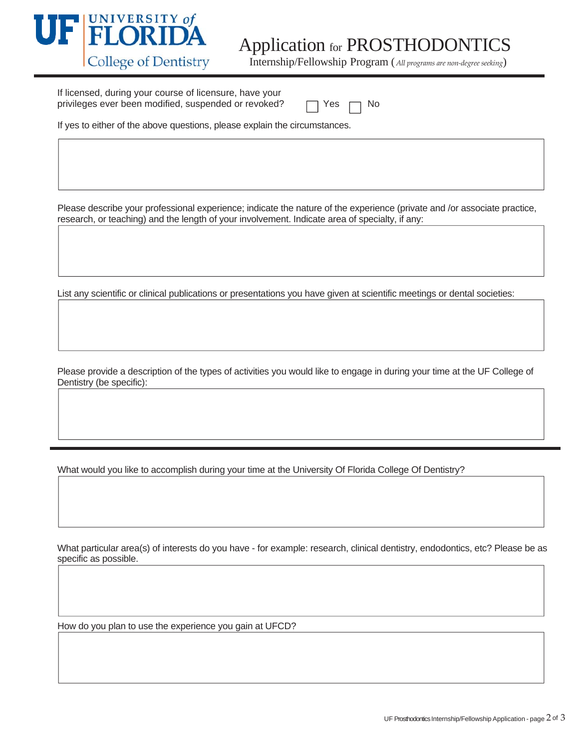

If licensed, during your course of licensure, have your privileges ever been modified, suspended or revoked?  $\Box$  Yes  $\Box$  No

If yes to either of the above questions, please explain the circumstances.

Please describe your professional experience; indicate the nature of the experience (private and /or associate practice, research, or teaching) and the length of your involvement. Indicate area of specialty, if any:

List any scientific or clinical publications or presentations you have given at scientific meetings or dental societies:

Please provide a description of the types of activities you would like to engage in during your time at the UF College of Dentistry (be specific):

What would you like to accomplish during your time at the University Of Florida College Of Dentistry?

What particular area(s) of interests do you have - for example: research, clinical dentistry, endodontics, etc? Please be as specific as possible.

How do you plan to use the experience you gain at UFCD?